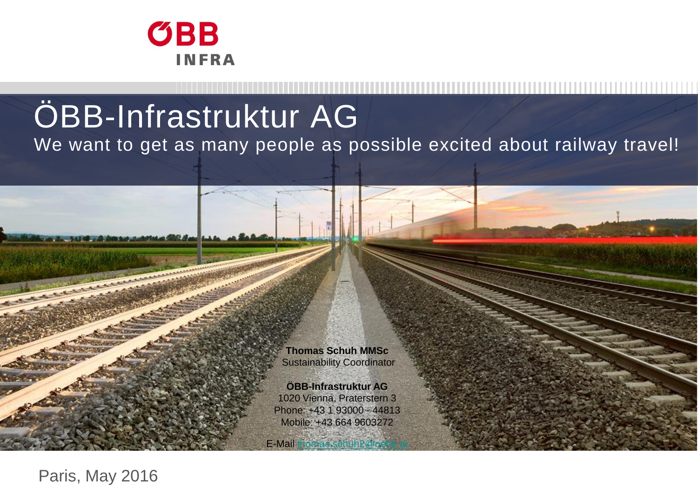

# ÖBB-Infrastruktur AG

We want to get as many people as possible excited about railway travel!

**Thomas Schuh MMSc** Sustainability Coordinator

**ÖBB-Infrastruktur AG** 1020 Vienna, Praterstern 3 Phone: +43 1 93000 - 44813 Mobile: +43 664 9603272

E-Mail thomas.schuh2@o

Paris, May 2016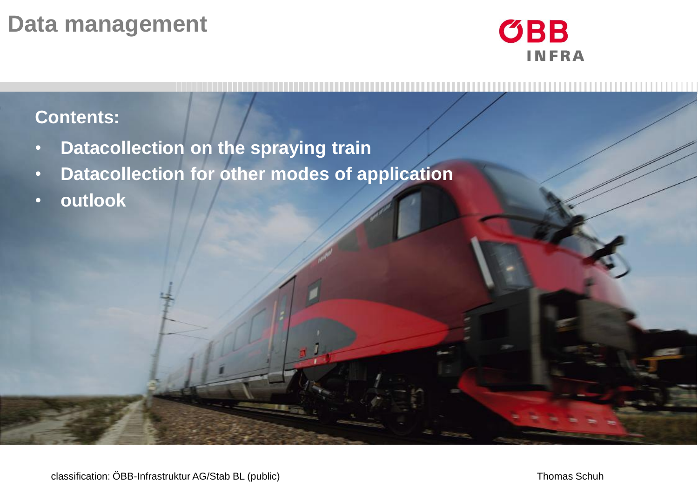#### **Data management**



#### **Contents:**

- **Datacollection on the spraying train**
- **Datacollection for other modes of application**
- **outlook**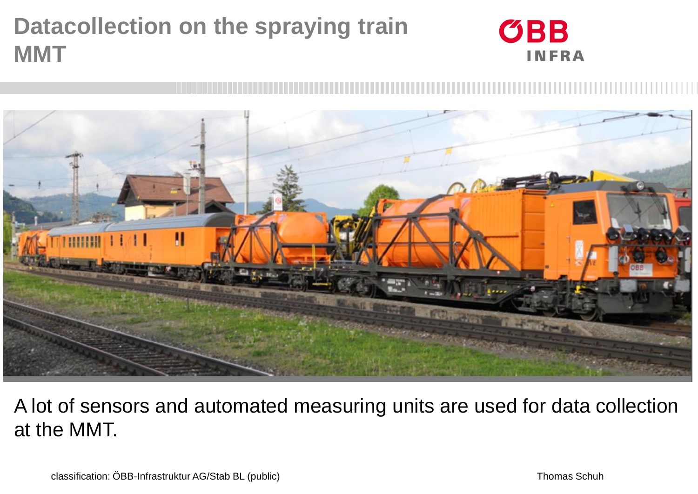# **Datacollection on the spraying train MMT**





#### A lot of sensors and automated measuring units are used for data collection at the MMT.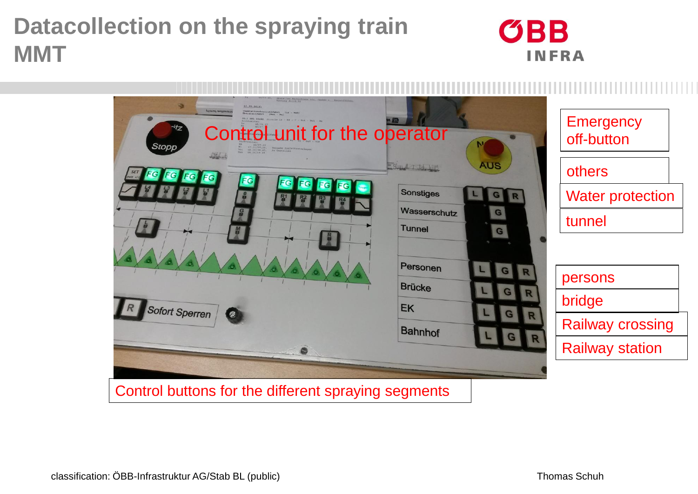#### **Datacollection on the spraying train MMT**



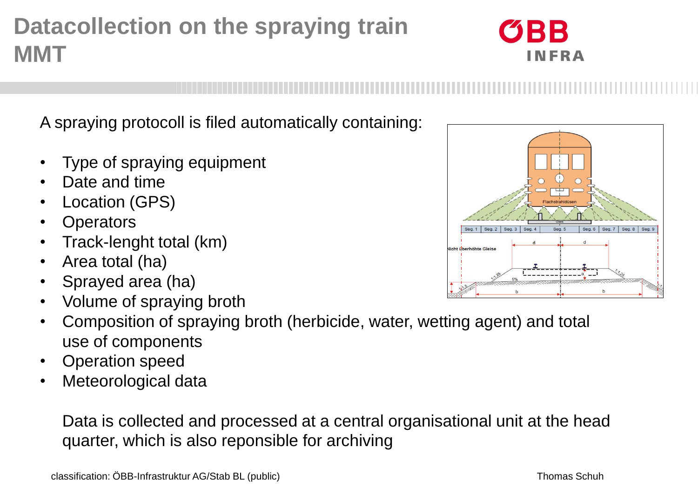### **Datacollection on the spraying train MMT**

A spraying protocoll is filed automatically containing:

- Type of spraying equipment
- Date and time
- Location (GPS)
- Operators
- Track-lenght total (km)
- Area total (ha)
- Sprayed area (ha)
- Volume of spraying broth

• Composition of spraying broth (herbicide, water, wetting agent) and total use of components

- Operation speed
- Meteorological data

Data is collected and processed at a central organisational unit at the head quarter, which is also reponsible for archiving

![](_page_4_Figure_15.jpeg)

![](_page_4_Picture_16.jpeg)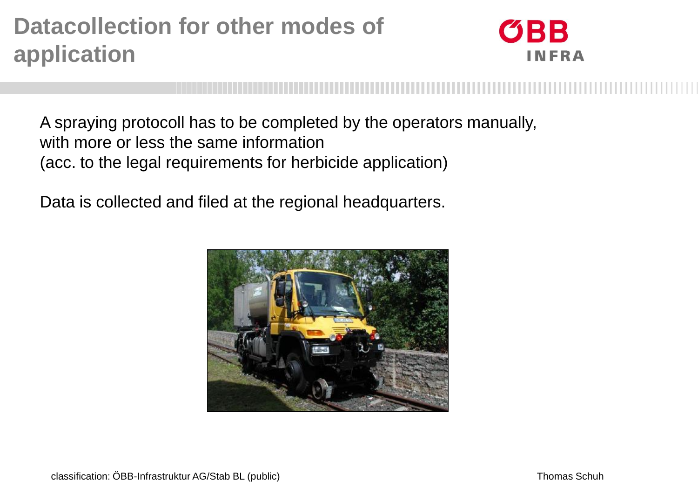### **Datacollection for other modes of application**

![](_page_5_Picture_1.jpeg)

A spraying protocoll has to be completed by the operators manually, with more or less the same information (acc. to the legal requirements for herbicide application)

Data is collected and filed at the regional headquarters.

![](_page_5_Picture_4.jpeg)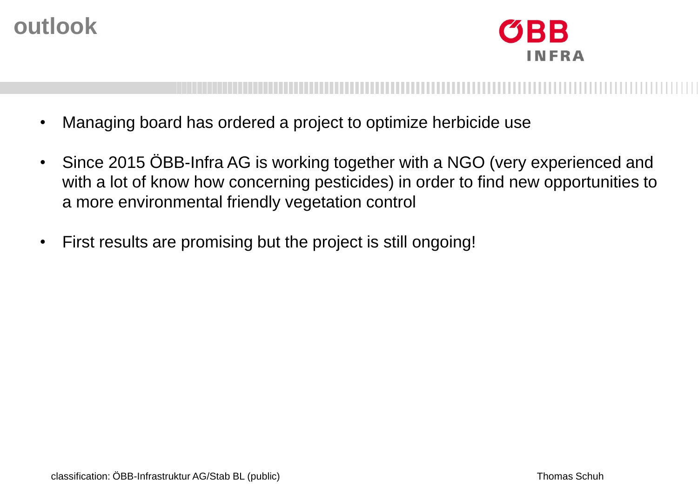#### **outlook**

BB **INFRA** 

- Managing board has ordered a project to optimize herbicide use
- Since 2015 ÖBB-Infra AG is working together with a NGO (very experienced and with a lot of know how concerning pesticides) in order to find new opportunities to a more environmental friendly vegetation control
- First results are promising but the project is still ongoing!